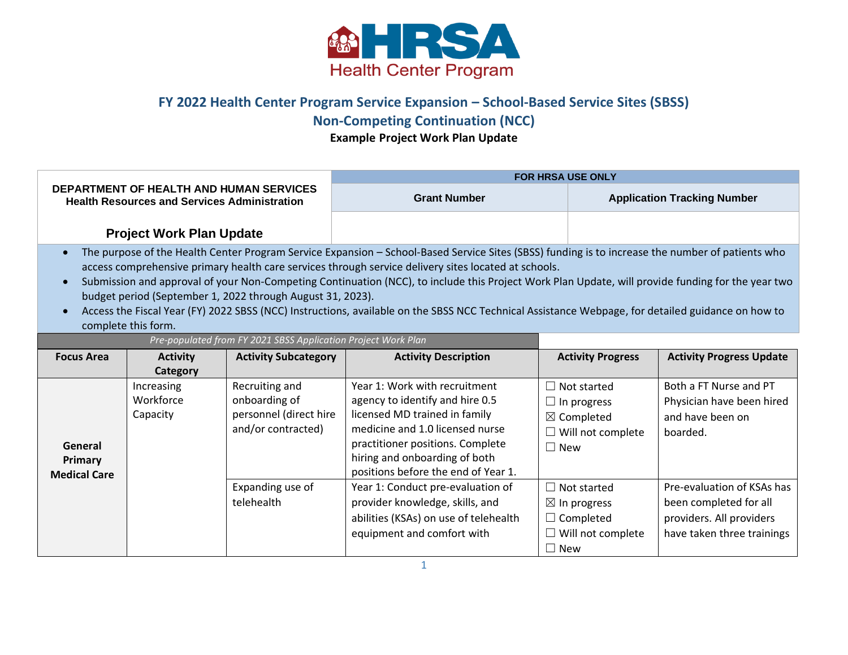

## **FY 2022 Health Center Program Service Expansion – School-Based Service Sites (SBSS)**

## **Non-Competing Continuation (NCC)**

**Example Project Work Plan Update**

| <b>DEPARTMENT OF HEALTH AND HUMAN SERVICES</b><br><b>Health Resources and Services Administration</b>                                                                                                                                                                                                                                                                                                                                                                                                                                                                                                                                                                                          |                                                               |                                                                                 | <b>FOR HRSA USE ONLY</b>                                                                                                                                                                                                                         |                                                                                                             |                                                                                                                |  |  |  |  |
|------------------------------------------------------------------------------------------------------------------------------------------------------------------------------------------------------------------------------------------------------------------------------------------------------------------------------------------------------------------------------------------------------------------------------------------------------------------------------------------------------------------------------------------------------------------------------------------------------------------------------------------------------------------------------------------------|---------------------------------------------------------------|---------------------------------------------------------------------------------|--------------------------------------------------------------------------------------------------------------------------------------------------------------------------------------------------------------------------------------------------|-------------------------------------------------------------------------------------------------------------|----------------------------------------------------------------------------------------------------------------|--|--|--|--|
|                                                                                                                                                                                                                                                                                                                                                                                                                                                                                                                                                                                                                                                                                                |                                                               |                                                                                 | <b>Grant Number</b>                                                                                                                                                                                                                              |                                                                                                             | <b>Application Tracking Number</b>                                                                             |  |  |  |  |
|                                                                                                                                                                                                                                                                                                                                                                                                                                                                                                                                                                                                                                                                                                | <b>Project Work Plan Update</b>                               |                                                                                 |                                                                                                                                                                                                                                                  |                                                                                                             |                                                                                                                |  |  |  |  |
| The purpose of the Health Center Program Service Expansion - School-Based Service Sites (SBSS) funding is to increase the number of patients who<br>$\bullet$<br>access comprehensive primary health care services through service delivery sites located at schools.<br>Submission and approval of your Non-Competing Continuation (NCC), to include this Project Work Plan Update, will provide funding for the year two<br>$\bullet$<br>budget period (September 1, 2022 through August 31, 2023).<br>Access the Fiscal Year (FY) 2022 SBSS (NCC) Instructions, available on the SBSS NCC Technical Assistance Webpage, for detailed guidance on how to<br>$\bullet$<br>complete this form. |                                                               |                                                                                 |                                                                                                                                                                                                                                                  |                                                                                                             |                                                                                                                |  |  |  |  |
|                                                                                                                                                                                                                                                                                                                                                                                                                                                                                                                                                                                                                                                                                                | Pre-populated from FY 2021 SBSS Application Project Work Plan |                                                                                 |                                                                                                                                                                                                                                                  |                                                                                                             |                                                                                                                |  |  |  |  |
| <b>Focus Area</b>                                                                                                                                                                                                                                                                                                                                                                                                                                                                                                                                                                                                                                                                              | <b>Activity</b><br>Category                                   | <b>Activity Subcategory</b>                                                     | <b>Activity Description</b>                                                                                                                                                                                                                      | <b>Activity Progress</b>                                                                                    | <b>Activity Progress Update</b>                                                                                |  |  |  |  |
| General<br>Primary<br><b>Medical Care</b>                                                                                                                                                                                                                                                                                                                                                                                                                                                                                                                                                                                                                                                      | Increasing<br>Workforce<br>Capacity                           | Recruiting and<br>onboarding of<br>personnel (direct hire<br>and/or contracted) | Year 1: Work with recruitment<br>agency to identify and hire 0.5<br>licensed MD trained in family<br>medicine and 1.0 licensed nurse<br>practitioner positions. Complete<br>hiring and onboarding of both<br>positions before the end of Year 1. | $\Box$ Not started<br>$\Box$ In progress<br>$\boxtimes$ Completed<br>$\Box$ Will not complete<br>$\Box$ New | Both a FT Nurse and PT<br>Physician have been hired<br>and have been on<br>boarded.                            |  |  |  |  |
|                                                                                                                                                                                                                                                                                                                                                                                                                                                                                                                                                                                                                                                                                                |                                                               | Expanding use of<br>telehealth                                                  | Year 1: Conduct pre-evaluation of<br>provider knowledge, skills, and<br>abilities (KSAs) on use of telehealth<br>equipment and comfort with                                                                                                      | $\Box$ Not started<br>$\boxtimes$ In progress<br>$\Box$ Completed<br>$\Box$ Will not complete<br>$\Box$ New | Pre-evaluation of KSAs has<br>been completed for all<br>providers. All providers<br>have taken three trainings |  |  |  |  |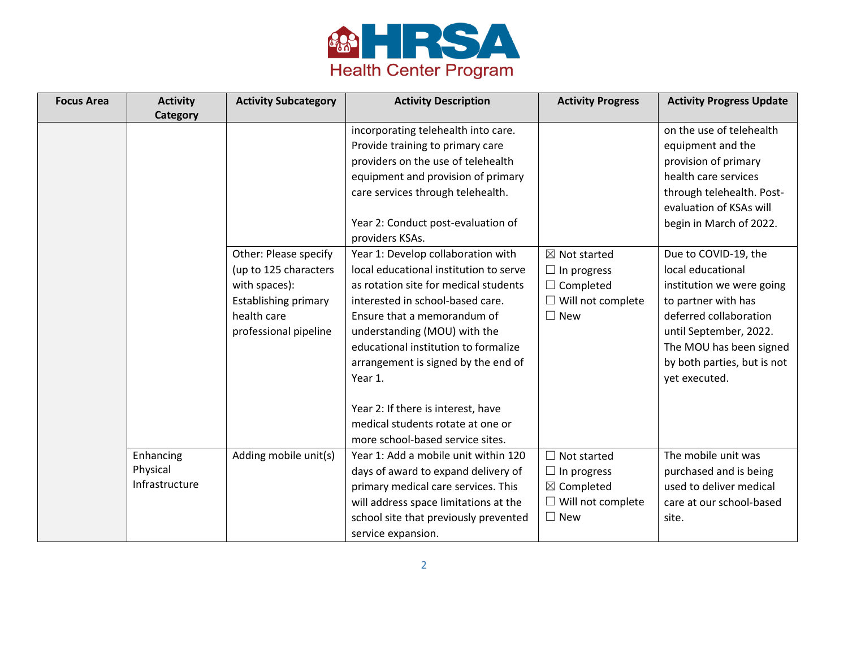

| <b>Focus Area</b> | <b>Activity</b><br><b>Category</b>      | <b>Activity Subcategory</b>                                                                                   | <b>Activity Description</b>                                                                                                                                                                                                                                                                                                                                                                 | <b>Activity Progress</b>                                                                                       | <b>Activity Progress Update</b>                                                                                                                                                                          |
|-------------------|-----------------------------------------|---------------------------------------------------------------------------------------------------------------|---------------------------------------------------------------------------------------------------------------------------------------------------------------------------------------------------------------------------------------------------------------------------------------------------------------------------------------------------------------------------------------------|----------------------------------------------------------------------------------------------------------------|----------------------------------------------------------------------------------------------------------------------------------------------------------------------------------------------------------|
|                   |                                         | Other: Please specify                                                                                         | incorporating telehealth into care.<br>Provide training to primary care<br>providers on the use of telehealth<br>equipment and provision of primary<br>care services through telehealth.<br>Year 2: Conduct post-evaluation of<br>providers KSAs.<br>Year 1: Develop collaboration with                                                                                                     | $\boxtimes$ Not started                                                                                        | on the use of telehealth<br>equipment and the<br>provision of primary<br>health care services<br>through telehealth. Post-<br>evaluation of KSAs will<br>begin in March of 2022.<br>Due to COVID-19, the |
|                   |                                         | (up to 125 characters<br>with spaces):<br><b>Establishing primary</b><br>health care<br>professional pipeline | local educational institution to serve<br>as rotation site for medical students<br>interested in school-based care.<br>Ensure that a memorandum of<br>understanding (MOU) with the<br>educational institution to formalize<br>arrangement is signed by the end of<br>Year 1.<br>Year 2: If there is interest, have<br>medical students rotate at one or<br>more school-based service sites. | $\Box$ In progress<br>$\Box$ Completed<br>$\Box$ Will not complete<br>$\square$ New                            | local educational<br>institution we were going<br>to partner with has<br>deferred collaboration<br>until September, 2022.<br>The MOU has been signed<br>by both parties, but is not<br>yet executed.     |
|                   | Enhancing<br>Physical<br>Infrastructure | Adding mobile unit(s)                                                                                         | Year 1: Add a mobile unit within 120<br>days of award to expand delivery of<br>primary medical care services. This<br>will address space limitations at the<br>school site that previously prevented<br>service expansion.                                                                                                                                                                  | $\Box$ Not started<br>$\Box$ In progress<br>$\boxtimes$ Completed<br>$\Box$ Will not complete<br>$\square$ New | The mobile unit was<br>purchased and is being<br>used to deliver medical<br>care at our school-based<br>site.                                                                                            |